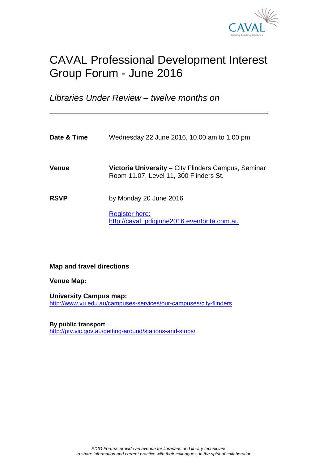

# CAVAL Professional Development Interest Group Forum - June 2016

*Libraries Under Review* – *twelve months on*

| Date & Time  | Wednesday 22 June 2016, 10.00 am to 1.00 pm                                                   |
|--------------|-----------------------------------------------------------------------------------------------|
| <b>Venue</b> | Victoria University – City Flinders Campus, Seminar<br>Room 11.07, Level 11, 300 Flinders St. |
| <b>RSVP</b>  | by Monday 20 June 2016                                                                        |
|              | <b>Register here:</b><br>http://caval_pdigjune2016.eventbrite.com.au                          |

**Map and travel directions** 

**Venue Map:**

 $\overline{a}$ 

**University Campus map:**  http://www.vu.edu.au/campuses-services/our-campuses/city-flinders

**By public transport**  http://ptv.vic.gov.au/getting-around/stations-and-stops/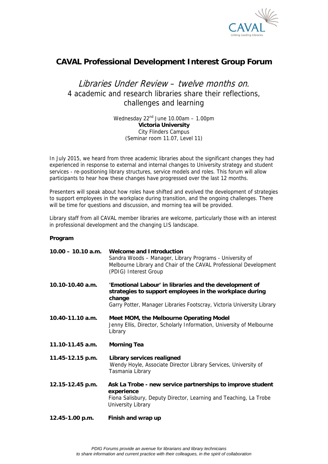

### **CAVAL Professional Development Interest Group Forum**

## Libraries Under Review – twelve months on*.*  4 academic and research libraries share their reflections, challenges and learning

Wednesday  $22<sup>nd</sup>$  June 10.00am - 1.00pm **Victoria University**  City Flinders Campus (Seminar room 11.07, Level 11)

In July 2015, we heard from three academic libraries about the significant changes they had experienced in response to external and internal changes to University strategy and student services - re-positioning library structures, service models and roles. This forum will allow participants to hear how these changes have progressed over the last 12 months.

Presenters will speak about how roles have shifted and evolved the development of strategies to support employees in the workplace during transition, and the ongoing challenges. There will be time for questions and discussion, and morning tea will be provided.

Library staff from all CAVAL member libraries are welcome, particularly those with an interest in professional development and the changing LIS landscape.

### **Program**

| $10.00 - 10.10$ a.m. | <b>Welcome and Introduction</b><br>Sandra Woods - Manager, Library Programs - University of<br>Melbourne Library and Chair of the CAVAL Professional Development<br>(PDIG) Interest Group             |
|----------------------|-------------------------------------------------------------------------------------------------------------------------------------------------------------------------------------------------------|
| 10.10-10.40 a.m.     | 'Emotional Labour' in libraries and the development of<br>strategies to support employees in the workplace during<br>change<br>Garry Potter, Manager Libraries Footscray, Victoria University Library |
| 10.40-11.10 a.m.     | Meet MOM, the Melbourne Operating Model<br>Jenny Ellis, Director, Scholarly Information, University of Melbourne<br>Library                                                                           |
| 11.10-11.45 a.m.     | <b>Morning Tea</b>                                                                                                                                                                                    |
| 11.45-12.15 p.m.     | Library services realigned<br>Wendy Hoyle, Associate Director Library Services, University of<br>Tasmania Library                                                                                     |
| 12.15-12.45 p.m.     | Ask La Trobe - new service partnerships to improve student<br>experience<br>Fiona Salisbury, Deputy Director, Learning and Teaching, La Trobe<br>University Library                                   |
| 12.45-1.00 p.m.      | Finish and wrap up                                                                                                                                                                                    |